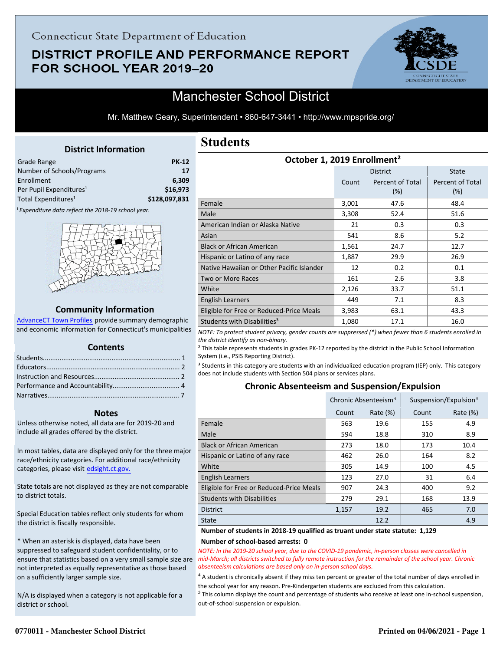## **DISTRICT PROFILE AND PERFORMANCE REPORT** FOR SCHOOL YEAR 2019-20



## Manchester School District

Mr. Matthew Geary, Superintendent • 860-647-3441 • http://www.mpspride.org/

### **District Information**

<span id="page-0-0"></span>

| <b>PK-12</b>  |
|---------------|
| 17            |
| 6.309         |
| \$16.973      |
| \$128,097,831 |
|               |

<sup>1</sup> Expenditure data reflect the 2018-19 school year.



#### **Community Information**

AdvanceCT Town Profiles provide summary demographic  [and economic information for Connecticut's municipalities](http://www.cerc.com/townprofiles/)

#### **Contents**

#### **Notes**

Unless otherwise noted, all data are for 2019-20 and include all grades offered by the district.

[In most tables, data are displayed only for the three major](http://edsight.ct.gov/) race/ethnicity categories. For additional race/ethnicity categories, please visit edsight.ct.gov.

State totals are not displayed as they are not comparable to district totals.

Special Education tables reflect only students for whom the district is fiscally responsible.

\* When an asterisk is displayed, data have been suppressed to safeguard student confidentiality, or to ensure that statistics based on a very small sample size are not interpreted as equally representative as those based on a sufficiently larger sample size.

N/A is displayed when a category is not applicable for a district or school.

## **Students**

| October 1, 2019 Enrollment <sup>2</sup>   |       |                         |                         |  |  |
|-------------------------------------------|-------|-------------------------|-------------------------|--|--|
|                                           |       | <b>District</b>         | <b>State</b>            |  |  |
|                                           | Count | Percent of Total<br>(%) | Percent of Total<br>(%) |  |  |
| Female                                    | 3,001 | 47.6                    | 48.4                    |  |  |
| Male                                      | 3,308 | 52.4                    | 51.6                    |  |  |
| American Indian or Alaska Native          | 21    | 0.3                     | 0.3                     |  |  |
| Asian                                     | 541   | 8.6                     | 5.2                     |  |  |
| <b>Black or African American</b>          | 1,561 | 24.7                    | 12.7                    |  |  |
| Hispanic or Latino of any race            | 1,887 | 29.9                    | 26.9                    |  |  |
| Native Hawaiian or Other Pacific Islander | 12    | 0.2                     | 0.1                     |  |  |
| <b>Two or More Races</b>                  | 161   | 2.6                     | 3.8                     |  |  |
| White                                     | 2,126 | 33.7                    | 51.1                    |  |  |
| English Learners                          | 449   | 7.1                     | 8.3                     |  |  |
| Eligible for Free or Reduced-Price Meals  | 3,983 | 63.1                    | 43.3                    |  |  |
| Students with Disabilities <sup>3</sup>   | 1,080 | 17.1                    | 16.0                    |  |  |

*NOTE: To protect student privacy, gender counts are suppressed (\*) when fewer than 6 students enrolled in the district identify as non-binary.*

<sup>2</sup> This table represents students in grades PK-12 reported by the district in the Public School Information System (i.e., PSIS Reporting District).

<sup>3</sup> Students in this category are students with an individualized education program (IEP) only. This category does not include students with Section 504 plans or services plans.

## **Chronic Absenteeism and Suspension/Expulsion**

|                                          | Chronic Absenteeism <sup>4</sup> |             | Suspension/Expulsion <sup>5</sup> |             |  |
|------------------------------------------|----------------------------------|-------------|-----------------------------------|-------------|--|
|                                          | Count                            | Rate $(\%)$ | Count                             | Rate $(\%)$ |  |
| Female                                   | 563                              | 19.6        | 155                               | 4.9         |  |
| Male                                     | 594                              | 18.8        | 310                               | 8.9         |  |
| <b>Black or African American</b>         | 273                              | 18.0        | 173                               | 10.4        |  |
| Hispanic or Latino of any race           | 462                              | 26.0        | 164                               | 8.2         |  |
| White                                    | 305                              | 14.9        | 100                               | 4.5         |  |
| <b>English Learners</b>                  | 123                              | 27.0        | 31                                | 6.4         |  |
| Eligible for Free or Reduced-Price Meals | 907                              | 24.3        | 400                               | 9.2         |  |
| <b>Students with Disabilities</b>        | 279                              | 29.1        | 168                               | 13.9        |  |
| <b>District</b>                          | 1,157                            | 19.2        | 465                               | 7.0         |  |
| <b>State</b>                             |                                  | 12.2        |                                   | 4.9         |  |

#### **Number of students in 2018-19 qualified as truant under state statute: 1,129 Number of school-based arrests: 0**

*NOTE: In the 2019-20 school year, due to the COVID-19 pandemic, in-person classes were cancelled in mid-March; all districts switched to fully remote instruction for the remainder of the school year. Chronic absenteeism calculations are based only on in-person school days.*

<sup>4</sup> A student is chronically absent if they miss ten percent or greater of the total number of days enrolled in the school year for any reason. Pre-Kindergarten students are excluded from this calculation.

 $<sup>5</sup>$  This column displays the count and percentage of students who receive at least one in-school suspension,</sup> out-of-school suspension or expulsion.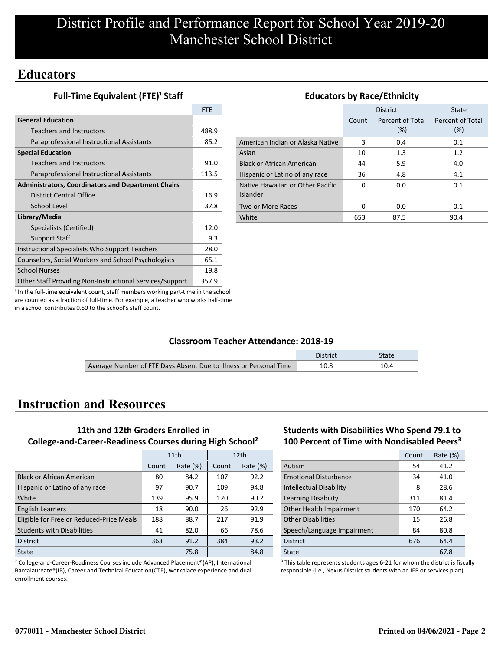## **Educators**

**Full-Time Equivalent (FTE)<sup>1</sup> Staff** 

|                                                           | <b>FTF</b> |
|-----------------------------------------------------------|------------|
| <b>General Education</b>                                  |            |
| <b>Teachers and Instructors</b>                           | 488.9      |
| Paraprofessional Instructional Assistants                 | 85.2       |
| <b>Special Education</b>                                  |            |
| <b>Teachers and Instructors</b>                           | 91.0       |
| Paraprofessional Instructional Assistants                 | 113.5      |
| <b>Administrators, Coordinators and Department Chairs</b> |            |
| District Central Office                                   | 16.9       |
| School Level                                              | 37.8       |
| Library/Media                                             |            |
| Specialists (Certified)                                   | 12.0       |
| <b>Support Staff</b>                                      | 9.3        |
| Instructional Specialists Who Support Teachers            | 28.0       |
| Counselors, Social Workers and School Psychologists       | 65.1       |
| <b>School Nurses</b>                                      | 19.8       |
| Other Staff Providing Non-Instructional Services/Support  | 357.9      |

## **Educators by Race/Ethnicity**

|                                              |       | <b>District</b>         | State                   |
|----------------------------------------------|-------|-------------------------|-------------------------|
|                                              | Count | Percent of Total<br>(%) | Percent of Total<br>(%) |
| American Indian or Alaska Native             | 3     | 0.4                     | 0.1                     |
| Asian                                        | 10    | 1.3                     | 1.2                     |
| <b>Black or African American</b>             | 44    | 5.9                     | 4.0                     |
| Hispanic or Latino of any race               | 36    | 4.8                     | 4.1                     |
| Native Hawaiian or Other Pacific<br>Islander | O     | 0.0                     | 0.1                     |
| Two or More Races                            | O     | 0.0                     | 0.1                     |
| White                                        | 653   | 87.5                    | 90.4                    |

<sup>1</sup> In the full-time equivalent count, staff members working part-time in the school are counted as a fraction of full-time. For example, a teacher who works half-time in a school contributes 0.50 to the school's staff count.

## **Classroom Teacher Attendance: 2018-19**

|                                                                   | District | <b>State</b> |
|-------------------------------------------------------------------|----------|--------------|
| Average Number of FTE Days Absent Due to Illness or Personal Time | 10.8     |              |

# **Instruction and Resources**

## **11th and 12th Graders Enrolled in College-and-Career-Readiness Courses during High School²**

|                                          | 11th  |             |       | 12 <sub>th</sub> |
|------------------------------------------|-------|-------------|-------|------------------|
|                                          | Count | Rate $(\%)$ | Count | Rate $(\%)$      |
| <b>Black or African American</b>         | 80    | 84.2        | 107   | 92.2             |
| Hispanic or Latino of any race           | 97    | 90.7        | 109   | 94.8             |
| White                                    | 139   | 95.9        | 120   | 90.2             |
| <b>English Learners</b>                  | 18    | 90.0        | 26    | 92.9             |
| Eligible for Free or Reduced-Price Meals | 188   | 88.7        | 217   | 91.9             |
| <b>Students with Disabilities</b>        | 41    | 82.0        | 66    | 78.6             |
| <b>District</b>                          | 363   | 91.2        | 384   | 93.2             |
| State                                    |       | 75.8        |       | 84.8             |

² College-and-Career-Readiness Courses include Advanced Placement®(AP), International Baccalaureate®(IB), Career and Technical Education(CTE), workplace experience and dual enrollment courses.

### **Students with Disabilities Who Spend 79.1 to 100 Percent of Time with Nondisabled Peers³**

|                                | Count | Rate $(\%)$ |
|--------------------------------|-------|-------------|
| Autism                         | 54    | 41.2        |
| <b>Emotional Disturbance</b>   | 34    | 41.0        |
| <b>Intellectual Disability</b> | 8     | 28.6        |
| Learning Disability            | 311   | 81.4        |
| Other Health Impairment        | 170   | 64.2        |
| <b>Other Disabilities</b>      | 15    | 26.8        |
| Speech/Language Impairment     | 84    | 80.8        |
| <b>District</b>                | 676   | 64.4        |
| State                          |       | 67.8        |

<sup>3</sup> This table represents students ages 6-21 for whom the district is fiscally responsible (i.e., Nexus District students with an IEP or services plan).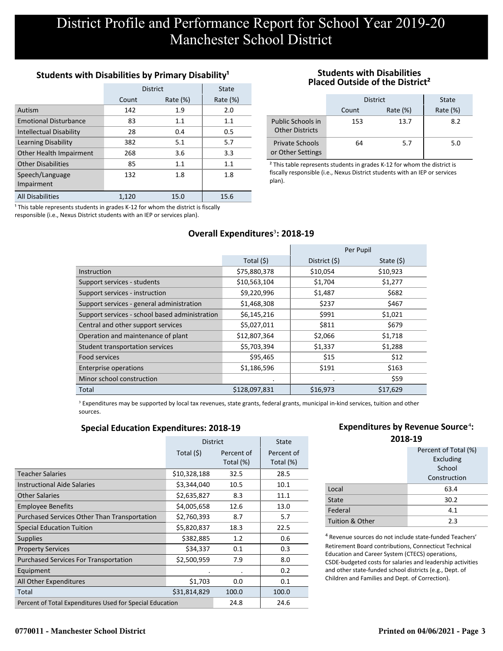## **Students with Disabilities by Primary Disability<sup>1</sup>**

|                                | <b>District</b> | State       |             |
|--------------------------------|-----------------|-------------|-------------|
|                                | Count           | Rate $(\%)$ | Rate $(\%)$ |
| Autism                         | 142             | 1.9         | 2.0         |
| <b>Emotional Disturbance</b>   | 83              | 1.1         | 1.1         |
| <b>Intellectual Disability</b> | 28              | 0.4         | 0.5         |
| Learning Disability            | 382             | 5.1         | 5.7         |
| Other Health Impairment        | 268             | 3.6         | 3.3         |
| <b>Other Disabilities</b>      | 85              | 1.1         | 1.1         |
| Speech/Language                | 132             | 1.8         | 1.8         |
| Impairment                     |                 |             |             |
| <b>All Disabilities</b>        | 1.120           | 15.0        | 15.6        |

 $1$  This table represents students in grades K-12 for whom the district is fiscally responsible (i.e., Nexus District students with an IEP or services plan).

### **Students with Disabilities Placed Outside of the District²**

|                                             | <b>District</b> | <b>State</b> |             |
|---------------------------------------------|-----------------|--------------|-------------|
|                                             | Count           | Rate $(\%)$  | Rate $(\%)$ |
| Public Schools in<br><b>Other Districts</b> | 153             | 13.7         | 8.2         |
| <b>Private Schools</b><br>or Other Settings | 64              | 5.7          | 5.0         |

² This table represents students in grades K-12 for whom the district is fiscally responsible (i.e., Nexus District students with an IEP or services plan).

## **Overall Expenditures<sup>3</sup>: 2018-19**

|                                                |               |               | Per Pupil   |
|------------------------------------------------|---------------|---------------|-------------|
|                                                | Total $(5)$   | District (\$) | State $(5)$ |
| Instruction                                    | \$75,880,378  | \$10,054      | \$10,923    |
| Support services - students                    | \$10,563,104  | \$1,704       | \$1,277     |
| Support services - instruction                 | \$9,220,996   | \$1,487       | \$682       |
| Support services - general administration      | \$1,468,308   | \$237         | \$467       |
| Support services - school based administration | \$6,145,216   | \$991         | \$1,021     |
| Central and other support services             | \$5,027,011   | \$811         | \$679       |
| Operation and maintenance of plant             | \$12,807,364  | \$2,066       | \$1,718     |
| Student transportation services                | \$5,703,394   | \$1,337       | \$1,288     |
| Food services                                  | \$95,465      | \$15          | \$12        |
| <b>Enterprise operations</b>                   | \$1,186,596   | \$191         | \$163       |
| Minor school construction                      | $\cdot$       | $\bullet$     | \$59        |
| Total                                          | \$128,097,831 | \$16,973      | \$17,629    |

<sup>3</sup> Expenditures may be supported by local tax revenues, state grants, federal grants, municipal in-kind services, tuition and other sources.

### **Special Education Expenditures: 2018-19**

|                                                          | <b>District</b> | <b>State</b>            |                         |
|----------------------------------------------------------|-----------------|-------------------------|-------------------------|
|                                                          | Total (\$)      | Percent of<br>Total (%) | Percent of<br>Total (%) |
| <b>Teacher Salaries</b>                                  | \$10,328,188    | 32.5                    | 28.5                    |
| <b>Instructional Aide Salaries</b>                       | \$3,344,040     | 10.5                    | 10.1                    |
| Other Salaries                                           | \$2,635,827     | 8.3                     | 11.1                    |
| <b>Employee Benefits</b>                                 | \$4,005,658     | 12.6                    | 13.0                    |
| Purchased Services Other Than Transportation             | \$2,760,393     | 8.7                     | 5.7                     |
| <b>Special Education Tuition</b>                         | \$5,820,837     | 18.3                    | 22.5                    |
| <b>Supplies</b>                                          | \$382,885       | 1.2                     | 0.6                     |
| <b>Property Services</b>                                 | \$34,337        | 0.1                     | 0.3                     |
| <b>Purchased Services For Transportation</b>             | \$2,500,959     | 7.9                     | 8.0                     |
| Equipment                                                |                 | ٠                       | 0.2                     |
| All Other Expenditures                                   | \$1,703         | 0.0                     | 0.1                     |
| Total                                                    | \$31,814,829    | 100.0                   | 100.0                   |
| Percent of Total Expenditures Used for Special Education |                 | 24.8                    | 24.6                    |

## **Expenditures by Revenue Source<sup>4</sup>:**

| 2018-19         |                      |  |  |
|-----------------|----------------------|--|--|
|                 | Percent of Total (%) |  |  |
|                 | Excluding            |  |  |
|                 | School               |  |  |
|                 | Construction         |  |  |
| Local           | 63.4                 |  |  |
| State           | 30.2                 |  |  |
| Federal         | 4.1                  |  |  |
| Tuition & Other | 2.3                  |  |  |

⁴ Revenue sources do not include state-funded Teachers' Retirement Board contributions, Connecticut Technical Education and Career System (CTECS) operations, CSDE-budgeted costs for salaries and leadership activities and other state-funded school districts (e.g., Dept. of Children and Families and Dept. of Correction).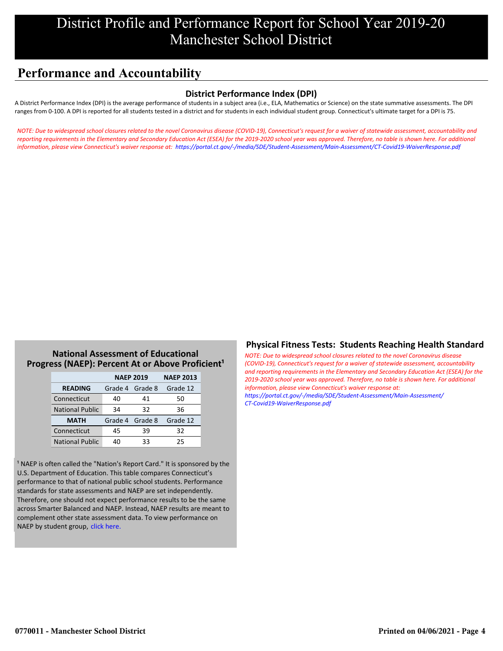# **Performance and Accountability**

## **District Performance Index (DPI)**

A District Performance Index (DPI) is the average performance of students in a subject area (i.e., ELA, Mathematics or Science) on the state summative assessments. The DPI ranges from 0-100. A DPI is reported for all students tested in a district and for students in each individual student group. Connecticut's ultimate target for a DPI is 75.

*[NOTE: Due to widespread school closures related to the novel Coronavirus disease \(COVID-19\), Connecticut's request for a waiver of statewide assessment, accountability and](https://portal.ct.gov/-/media/SDE/Student-Assessment/Main-Assessment/CT-Covid19-WaiverResponse.pdf) reporting requirements in the Elementary and Secondary Education Act (ESEA) for the 2019-2020 school year was approved. Therefore, no table is shown here. For additional information, please view Connecticut's waiver response at: https://portal.ct.gov/-/media/SDE/Student-Assessment/Main-Assessment/CT-Covid19-WaiverResponse.pdf*

### **National Assessment of Educational** Progress (NAEP): Percent At or Above Proficient<sup>1</sup>

|                        | <b>NAEP 2019</b> | <b>NAEP 2013</b> |          |
|------------------------|------------------|------------------|----------|
| <b>READING</b>         |                  | Grade 4 Grade 8  | Grade 12 |
| Connecticut            | 40               | 41               | 50       |
| <b>National Public</b> | 34               | 32               | 36       |
| <b>MATH</b>            |                  | Grade 4 Grade 8  | Grade 12 |
| Connecticut            | 45               | 39               | 32       |
| <b>National Public</b> | 40               | 33               | 25       |

<sup>1</sup> NAEP is often called the "Nation's Report Card." It is sponsored by the U.S. Department of Education. This table compares Connecticut's performance to that of national public school students. Performance standards for state assessments and NAEP are set independently. Therefore, one should not expect performance results to be the same across Smarter Balanced and NAEP. Instead, NAEP results are meant to complement other state assessment data. To view performance on NAEP by student group, click here.

## **Physical Fitness Tests: Students Reaching Health Standard**

*NOTE: Due to widespread school closures related to the novel Coronavirus disease (COVID-19), Connecticut's request for a waiver of statewide assessment, accountability [and reporting requirements in the Elementary and Secondary Education Act \(ESEA\) for the](https://portal.ct.gov/-/media/SDE/Student-Assessment/Main-Assessment/CT-Covid19-WaiverResponse.pdf) 2019-2020 school year was approved. Therefore, no table is shown here. For additional information, please view Connecticut's waiver response at: https://portal.ct.gov/-/media/SDE/Student-Assessment/Main-Assessment/ CT-Covid19-WaiverResponse.pdf*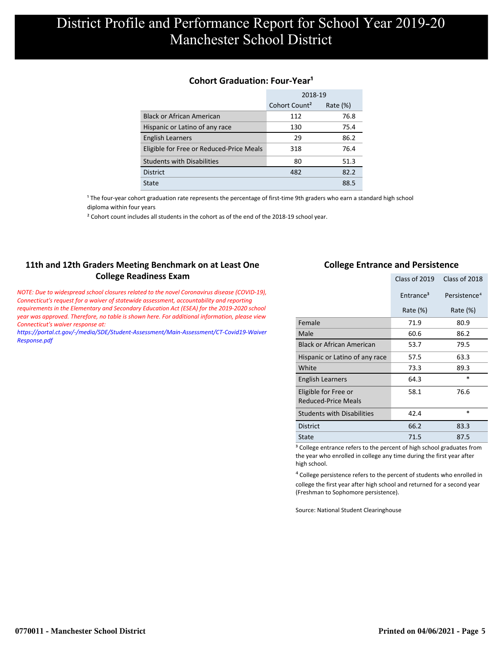### **Cohort Graduation: Four-Year<sup>1</sup>**

|                                          | 2018-19                   |             |  |
|------------------------------------------|---------------------------|-------------|--|
|                                          | Cohort Count <sup>2</sup> | Rate $(\%)$ |  |
| <b>Black or African American</b>         | 112                       | 76.8        |  |
| Hispanic or Latino of any race           | 130                       | 75.4        |  |
| <b>English Learners</b>                  | 29                        | 86.2        |  |
| Eligible for Free or Reduced-Price Meals | 318                       | 76.4        |  |
| <b>Students with Disabilities</b>        | 80                        | 51.3        |  |
| <b>District</b>                          | 482                       | 82.2        |  |
| State                                    |                           | 88.5        |  |

<sup>1</sup> The four-year cohort graduation rate represents the percentage of first-time 9th graders who earn a standard high school [diploma within four years.](http://www.sde.ct.gov/sde/cwp/view.asp?a=2758&q=334898)

<sup>2</sup> Cohort count includes all students in the cohort as of the end of the 2018-19 school year.

## **11th and 12th Graders Meeting Benchmark on at Least One College Readiness Exam**

*NOTE: Due to widespread school closures related to the novel Coronavirus disease (COVID-19), Connecticut's request for a waiver of statewide assessment, accountability and reporting requirements in the Elementary and Secondary Education Act (ESEA) for the 2019-2020 school year was approved. Therefore, no table is shown here. For additional information, please view Connecticut's waiver response at:*

*[https://portal.ct.gov/-/media/SDE/Student-Assessment/Main-Assessment/CT-Covid19-Waiver](https://portal.ct.gov/-/media/SDE/Student-Assessment/Main-Assessment/CT-Covid19-WaiverResponse.pdf) Response.pdf*

### **College Entrance and Persistence**

|                                                    | Class of 2019         | Class of 2018            |
|----------------------------------------------------|-----------------------|--------------------------|
|                                                    | Entrance <sup>3</sup> | Persistence <sup>4</sup> |
|                                                    | Rate $(\%)$           | Rate $(\%)$              |
| Female                                             | 71.9                  | 80.9                     |
| Male                                               | 60.6                  | 86.2                     |
| <b>Black or African American</b>                   | 53.7                  | 79.5                     |
| Hispanic or Latino of any race                     | 57.5                  | 63.3                     |
| White                                              | 73.3                  | 89.3                     |
| English Learners                                   | 64.3                  | $\ast$                   |
| Eligible for Free or<br><b>Reduced-Price Meals</b> | 58.1                  | 76.6                     |
| <b>Students with Disabilities</b>                  | 42.4                  | $\ast$                   |
| <b>District</b>                                    | 66.2                  | 83.3                     |
| <b>State</b>                                       | 71.5                  | 87.5                     |

<sup>3</sup> College entrance refers to the percent of high school graduates from the year who enrolled in college any time during the first year after high school.

⁴ College persistence refers to the percent of students who enrolled in college the first year after high school and returned for a second year (Freshman to Sophomore persistence).

Source: National Student Clearinghouse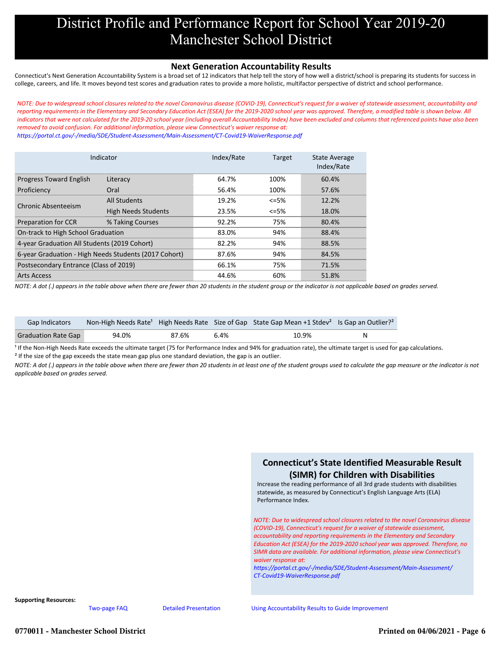#### **Next Generation Accountability Results**

Connecticut's Next Generation Accountability System is a broad set of 12 indicators that help tell the story of how well a district/school is preparing its students for success in college, careers, and life. It moves beyond test scores and graduation rates to provide a more holistic, multifactor perspective of district and school performance.

*NOTE: Due to widespread school closures related to the novel Coronavirus disease (COVID-19), Connecticut's request for a waiver of statewide assessment, accountability and reporting requirements in the Elementary and Secondary Education Act (ESEA) for the 2019-2020 school year was approved. Therefore, a modified table is shown below. All [indicators that were not calculated for the 2019-20 school year \(including overall Accountability Index\) have been excluded and columns that referenced points have also been](https://portal.ct.gov/-/media/SDE/Student-Assessment/Main-Assessment/CT-Covid19-WaiverResponse.pdf) removed to avoid confusion. For additional information, please view Connecticut's waiver response at:*

*https://portal.ct.gov/-/media/SDE/Student-Assessment/Main-Assessment/CT-Covid19-WaiverResponse.pdf*

| Indicator                                             |                            | Index/Rate | <b>Target</b> |       |
|-------------------------------------------------------|----------------------------|------------|---------------|-------|
| <b>Progress Toward English</b>                        | Literacy                   | 64.7%      | 100%          | 60.4% |
| Proficiency                                           | Oral                       | 56.4%      | 100%          | 57.6% |
| Chronic Absenteeism                                   | <b>All Students</b>        | 19.2%      | $<=5%$        | 12.2% |
|                                                       | <b>High Needs Students</b> | 23.5%      | <=5%          | 18.0% |
| <b>Preparation for CCR</b>                            | % Taking Courses           | 92.2%      | 75%           | 80.4% |
| On-track to High School Graduation                    |                            | 83.0%      | 94%           | 88.4% |
| 4-year Graduation All Students (2019 Cohort)          |                            | 82.2%      | 94%           | 88.5% |
| 6-year Graduation - High Needs Students (2017 Cohort) |                            | 87.6%      | 94%           | 84.5% |
| Postsecondary Entrance (Class of 2019)                |                            | 66.1%      | 75%           | 71.5% |
| <b>Arts Access</b>                                    |                            | 44.6%      | 60%           | 51.8% |

*NOTE: A dot (.) appears in the table above when there are fewer than 20 students in the student group or the indicator is not applicable based on grades served.*

| <b>Gap Indicators</b>      |       |       |      | Non-High Needs Rate <sup>1</sup> High Needs Rate Size of Gap State Gap Mean +1 Stdev <sup>2</sup> Is Gap an Outlier? <sup>2</sup> |  |
|----------------------------|-------|-------|------|-----------------------------------------------------------------------------------------------------------------------------------|--|
| <b>Graduation Rate Gap</b> | 94.0% | 87.6% | 6.4% | 10.9%                                                                                                                             |  |

<sup>1</sup> If the Non-High Needs Rate exceeds the ultimate target (75 for Performance Index and 94% for graduation rate), the ultimate target is used for gap calculations. <sup>2</sup> If the size of the gap exceeds the state mean gap plus one standard deviation, the gap is an outlier.

*NOTE: A dot (.) appears in the table above when there are fewer than 20 students in at least one of the student groups used to calculate the gap measure or the indicator is not applicable based on grades served.*



**Supporting Resources:**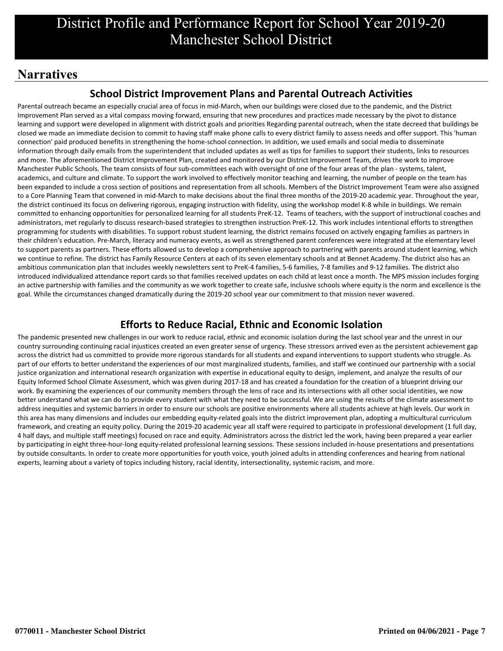# **Narratives**

## **School District Improvement Plans and Parental Outreach Activities**

Parental outreach became an especially crucial area of focus in mid-March, when our buildings were closed due to the pandemic, and the District Improvement Plan served as a vital compass moving forward, ensuring that new procedures and practices made necessary by the pivot to distance learning and support were developed in alignment with district goals and priorities Regarding parental outreach, when the state decreed that buildings be closed we made an immediate decision to commit to having staff make phone calls to every district family to assess needs and offer support. This 'human connection' paid produced benefits in strengthening the home-school connection. In addition, we used emails and social media to disseminate information through daily emails from the superintendent that included updates as well as tips for families to support their students, links to resources and more. The aforementioned District Improvement Plan, created and monitored by our District Improvement Team, drives the work to improve Manchester Public Schools. The team consists of four sub-committees each with oversight of one of the four areas of the plan - systems, talent, academics, and culture and climate. To support the work involved to effectively monitor teaching and learning, the number of people on the team has been expanded to include a cross section of positions and representation from all schools. Members of the District Improvement Team were also assigned to a Core Planning Team that convened in mid-March to make decisions about the final three months of the 2019-20 academic year. Throughout the year, the district continued its focus on delivering rigorous, engaging instruction with fidelity, using the workshop model K-8 while in buildings. We remain committed to enhancing opportunities for personalized learning for all students PreK-12. Teams of teachers, with the support of instructional coaches and administrators, met regularly to discuss research-based strategies to strengthen instruction PreK-12. This work includes intentional efforts to strengthen programming for students with disabilities. To support robust student learning, the district remains focused on actively engaging families as partners in their children's education. Pre-March, literacy and numeracy events, as well as strengthened parent conferences were integrated at the elementary level to support parents as partners. These efforts allowed us to develop a comprehensive approach to partnering with parents around student learning, which we continue to refine. The district has Family Resource Centers at each of its seven elementary schools and at Bennet Academy. The district also has an ambitious communication plan that includes weekly newsletters sent to PreK-4 families, 5-6 families, 7-8 families and 9-12 families. The district also introduced individualized attendance report cards so that families received updates on each child at least once a month. The MPS mission includes forging an active partnership with families and the community as we work together to create safe, inclusive schools where equity is the norm and excellence is the goal. While the circumstances changed dramatically during the 2019-20 school year our commitment to that mission never wavered.

## **Efforts to Reduce Racial, Ethnic and Economic Isolation**

The pandemic presented new challenges in our work to reduce racial, ethnic and economic isolation during the last school year and the unrest in our country surrounding continuing racial injustices created an even greater sense of urgency. These stressors arrived even as the persistent achievement gap across the district had us committed to provide more rigorous standards for all students and expand interventions to support students who struggle. As part of our efforts to better understand the experiences of our most marginalized students, families, and staff we continued our partnership with a social justice organization and international research organization with expertise in educational equity to design, implement, and analyze the results of our Equity Informed School Climate Assessment, which was given during 2017-18 and has created a foundation for the creation of a blueprint driving our work. By examining the experiences of our community members through the lens of race and its intersections with all other social identities, we now better understand what we can do to provide every student with what they need to be successful. We are using the results of the climate assessment to address inequities and systemic barriers in order to ensure our schools are positive environments where all students achieve at high levels. Our work in this area has many dimensions and includes our embedding equity-related goals into the district improvement plan, adopting a multicultural curriculum framework, and creating an equity policy. During the 2019-20 academic year all staff were required to participate in professional development (1 full day, 4 half days, and multiple staff meetings) focused on race and equity. Administrators across the district led the work, having been prepared a year earlier by participating in eight three-hour-long equity-related professional learning sessions. These sessions included in-house presentations and presentations by outside consultants. In order to create more opportunities for youth voice, youth joined adults in attending conferences and hearing from national experts, learning about a variety of topics including history, racial identity, intersectionality, systemic racism, and more.